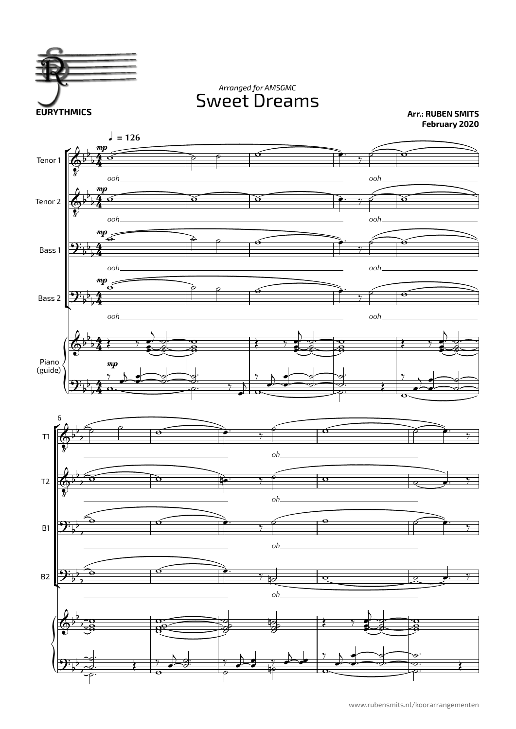

Sweet Dreams *Arranged for AMSGMC*

**Arr.: RUBEN SMITS February 2020**

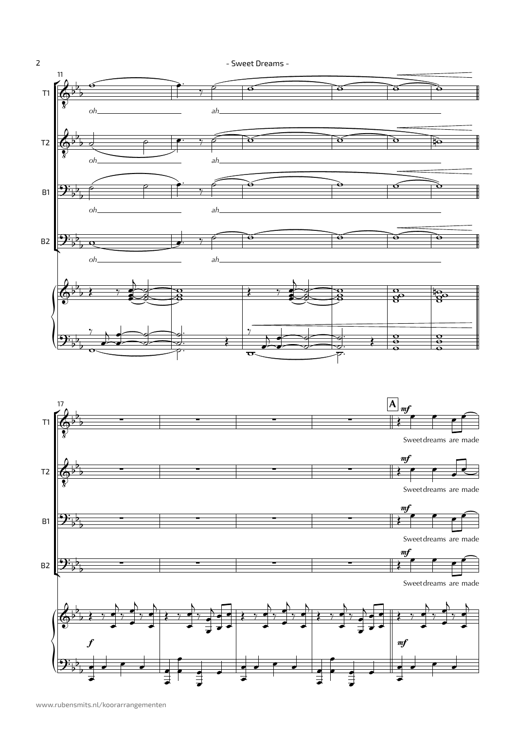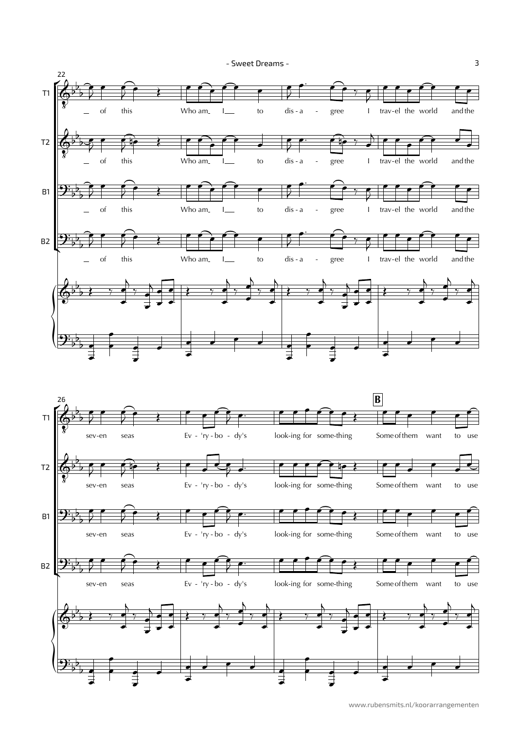- Sweet Dreams -



www.rubensmits.nl/koorarrangementen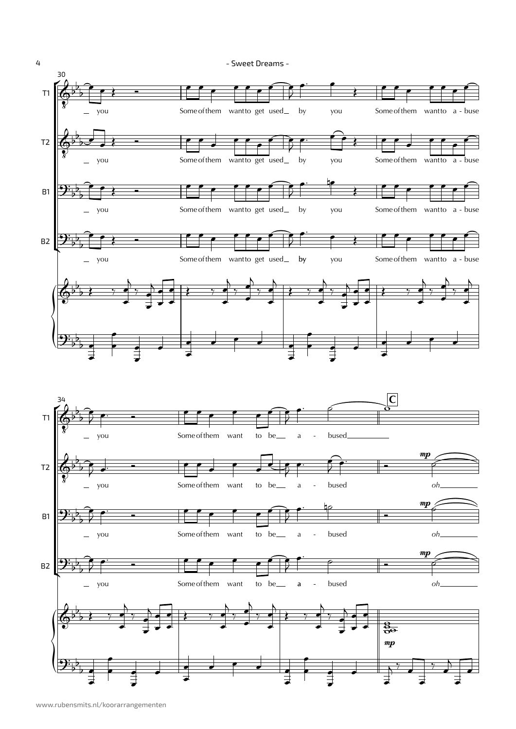